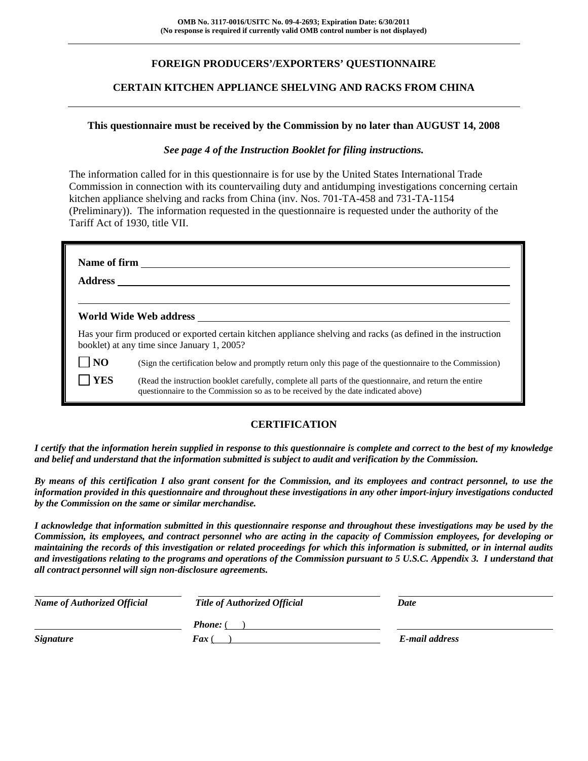## **FOREIGN PRODUCERS'/EXPORTERS' QUESTIONNAIRE**

### **CERTAIN KITCHEN APPLIANCE SHELVING AND RACKS FROM CHINA**

#### **This questionnaire must be received by the Commission by no later than AUGUST 14, 2008**

#### *See page 4 of the Instruction Booklet for filing instructions.*

The information called for in this questionnaire is for use by the United States International Trade Commission in connection with its countervailing duty and antidumping investigations concerning certain kitchen appliance shelving and racks from China (inv. Nos. 701-TA-458 and 731-TA-1154 (Preliminary)). The information requested in the questionnaire is requested under the authority of the Tariff Act of 1930, title VII.

| <b>Address</b> |                                                                                                                                                                                              |
|----------------|----------------------------------------------------------------------------------------------------------------------------------------------------------------------------------------------|
|                | World Wide Web address North States and Security States and Security States and Security States and Security S                                                                               |
|                | Has your firm produced or exported certain kitchen appliance shelving and racks (as defined in the instruction<br>booklet) at any time since January 1, 2005?                                |
| NO             | (Sign the certification below and promptly return only this page of the questionnaire to the Commission)                                                                                     |
| <b>YES</b>     | (Read the instruction booklet carefully, complete all parts of the questionnaire, and return the entire<br>questionnaire to the Commission so as to be received by the date indicated above) |

### **CERTIFICATION**

*I certify that the information herein supplied in response to this questionnaire is complete and correct to the best of my knowledge and belief and understand that the information submitted is subject to audit and verification by the Commission.* 

*By means of this certification I also grant consent for the Commission, and its employees and contract personnel, to use the information provided in this questionnaire and throughout these investigations in any other import-injury investigations conducted by the Commission on the same or similar merchandise.* 

*I acknowledge that information submitted in this questionnaire response and throughout these investigations may be used by the Commission, its employees, and contract personnel who are acting in the capacity of Commission employees, for developing or maintaining the records of this investigation or related proceedings for which this information is submitted, or in internal audits and investigations relating to the programs and operations of the Commission pursuant to 5 U.S.C. Appendix 3. I understand that all contract personnel will sign non-disclosure agreements.* 

| <b>Name of Authorized Official</b> | <b>Title of Authorized Official</b> | Date           |  |
|------------------------------------|-------------------------------------|----------------|--|
|                                    | <b>Phone:</b> (                     |                |  |
| <i>Signature</i>                   | <b>Fax</b> (                        | E-mail address |  |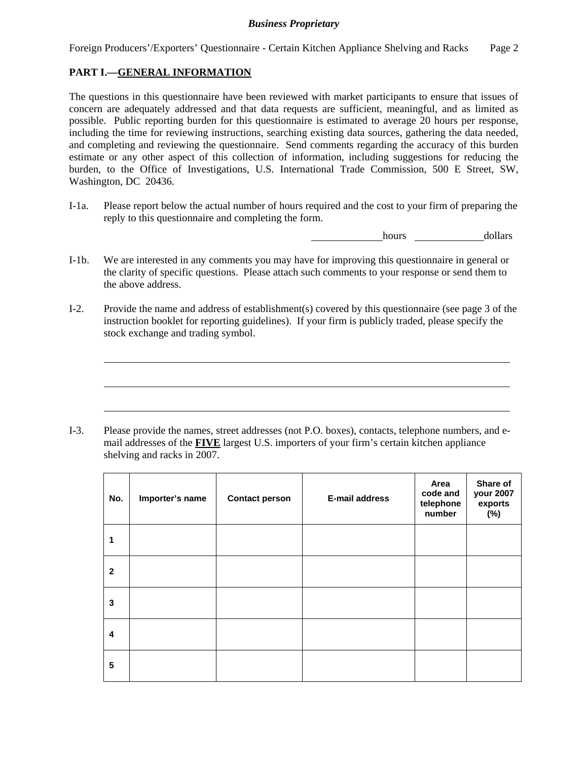Foreign Producers'/Exporters' Questionnaire - Certain Kitchen Appliance Shelving and Racks Page 2

### **PART I.—GENERAL INFORMATION**

 $\overline{a}$ 

 $\overline{a}$ 

 $\overline{a}$ 

The questions in this questionnaire have been reviewed with market participants to ensure that issues of concern are adequately addressed and that data requests are sufficient, meaningful, and as limited as possible. Public reporting burden for this questionnaire is estimated to average 20 hours per response, including the time for reviewing instructions, searching existing data sources, gathering the data needed, and completing and reviewing the questionnaire. Send comments regarding the accuracy of this burden estimate or any other aspect of this collection of information, including suggestions for reducing the burden, to the Office of Investigations, U.S. International Trade Commission, 500 E Street, SW, Washington, DC 20436.

I-1a. Please report below the actual number of hours required and the cost to your firm of preparing the reply to this questionnaire and completing the form.

hours dollars

- I-1b. We are interested in any comments you may have for improving this questionnaire in general or the clarity of specific questions. Please attach such comments to your response or send them to the above address.
- I-2. Provide the name and address of establishment(s) covered by this questionnaire (see page 3 of the instruction booklet for reporting guidelines). If your firm is publicly traded, please specify the stock exchange and trading symbol.

I-3. Please provide the names, street addresses (not P.O. boxes), contacts, telephone numbers, and email addresses of the **FIVE** largest U.S. importers of your firm's certain kitchen appliance shelving and racks in 2007.

| No.                     | Importer's name | <b>Contact person</b> | E-mail address | Area<br>code and<br>telephone<br>number | Share of<br>your 2007<br>exports<br>$(\%)$ |
|-------------------------|-----------------|-----------------------|----------------|-----------------------------------------|--------------------------------------------|
| 1                       |                 |                       |                |                                         |                                            |
| $\mathbf{2}$            |                 |                       |                |                                         |                                            |
| 3                       |                 |                       |                |                                         |                                            |
| $\overline{\mathbf{4}}$ |                 |                       |                |                                         |                                            |
| 5                       |                 |                       |                |                                         |                                            |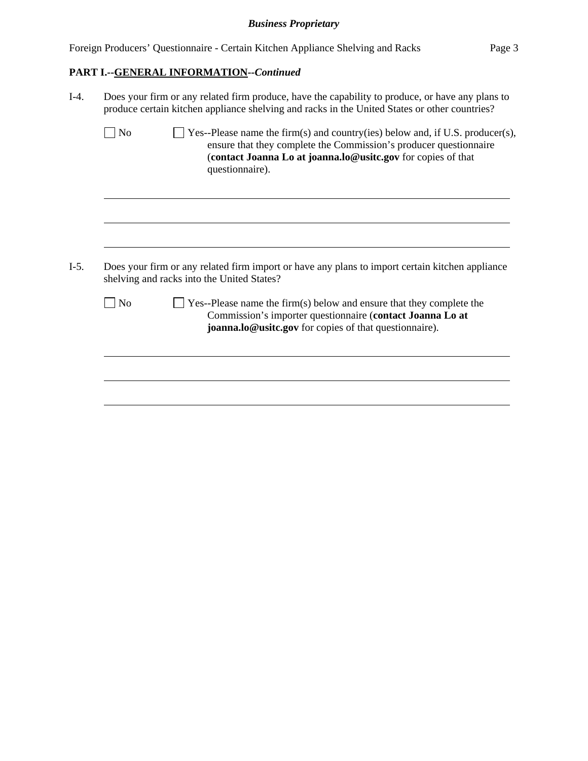| Foreign Producers' Questionnaire - Certain Kitchen Appliance Shelving and Racks |  |  | Page 3 |
|---------------------------------------------------------------------------------|--|--|--------|
|                                                                                 |  |  |        |
|                                                                                 |  |  |        |

# **PART I.--GENERAL INFORMATION***--Continued*

| $I-4.$ | Does your firm or any related firm produce, have the capability to produce, or have any plans to<br>produce certain kitchen appliance shelving and racks in the United States or other countries? |                                                                                                                                                                                                                                       |  |  |  |  |  |
|--------|---------------------------------------------------------------------------------------------------------------------------------------------------------------------------------------------------|---------------------------------------------------------------------------------------------------------------------------------------------------------------------------------------------------------------------------------------|--|--|--|--|--|
|        | No                                                                                                                                                                                                | Yes--Please name the firm(s) and country(ies) below and, if U.S. producer(s),<br>ensure that they complete the Commission's producer questionnaire<br>(contact Joanna Lo at joanna.lo@usitc.gov for copies of that<br>questionnaire). |  |  |  |  |  |
| $I-5.$ |                                                                                                                                                                                                   | Does your firm or any related firm import or have any plans to import certain kitchen appliance<br>shelving and racks into the United States?                                                                                         |  |  |  |  |  |
|        | No                                                                                                                                                                                                | $\exists$ Yes--Please name the firm(s) below and ensure that they complete the<br>Commission's importer questionnaire (contact Joanna Lo at                                                                                           |  |  |  |  |  |
|        |                                                                                                                                                                                                   | joanna.lo@usitc.gov for copies of that questionnaire).                                                                                                                                                                                |  |  |  |  |  |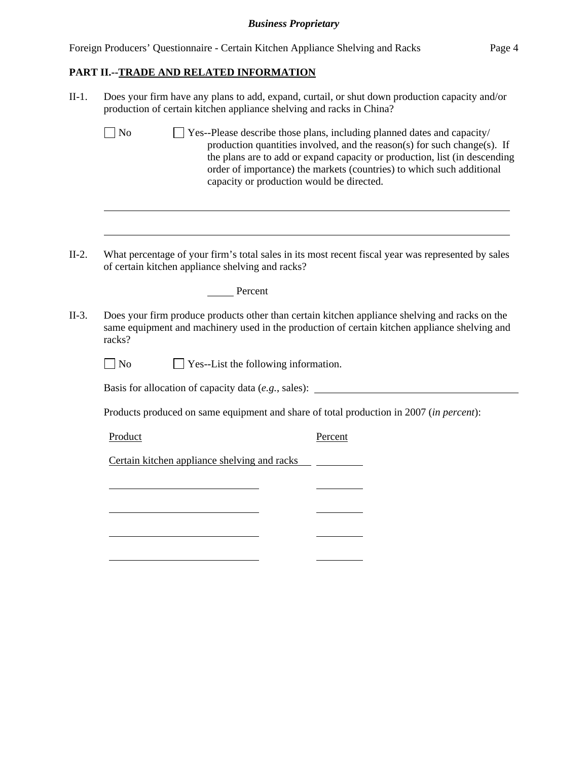|  | Foreign Producers' Questionnaire - Certain Kitchen Appliance Shelving and Racks | Page 4 |
|--|---------------------------------------------------------------------------------|--------|
|  |                                                                                 |        |

# **PART II.--TRADE AND RELATED INFORMATION**

| $II-1.$ | Does your firm have any plans to add, expand, curtail, or shut down production capacity and/or<br>production of certain kitchen appliance shelving and racks in China?                                                                                                                                                                                                       |                                                  |  |                                                                                                    |  |  |  |  |
|---------|------------------------------------------------------------------------------------------------------------------------------------------------------------------------------------------------------------------------------------------------------------------------------------------------------------------------------------------------------------------------------|--------------------------------------------------|--|----------------------------------------------------------------------------------------------------|--|--|--|--|
|         | $\blacksquare$ No<br>Yes--Please describe those plans, including planned dates and capacity/<br>production quantities involved, and the reason(s) for such change(s). If<br>the plans are to add or expand capacity or production, list (in descending<br>order of importance) the markets (countries) to which such additional<br>capacity or production would be directed. |                                                  |  |                                                                                                    |  |  |  |  |
|         |                                                                                                                                                                                                                                                                                                                                                                              |                                                  |  |                                                                                                    |  |  |  |  |
| $II-2.$ |                                                                                                                                                                                                                                                                                                                                                                              | of certain kitchen appliance shelving and racks? |  | What percentage of your firm's total sales in its most recent fiscal year was represented by sales |  |  |  |  |
|         |                                                                                                                                                                                                                                                                                                                                                                              | Percent                                          |  |                                                                                                    |  |  |  |  |
| $II-3.$ | Does your firm produce products other than certain kitchen appliance shelving and racks on the<br>same equipment and machinery used in the production of certain kitchen appliance shelving and<br>racks?                                                                                                                                                                    |                                                  |  |                                                                                                    |  |  |  |  |
|         | $\overline{\phantom{a}}$ No                                                                                                                                                                                                                                                                                                                                                  | Yes--List the following information.             |  |                                                                                                    |  |  |  |  |
|         |                                                                                                                                                                                                                                                                                                                                                                              |                                                  |  | Basis for allocation of capacity data $(e.g.,\text{ sales})$ :                                     |  |  |  |  |
|         |                                                                                                                                                                                                                                                                                                                                                                              |                                                  |  | Products produced on same equipment and share of total production in 2007 (in percent):            |  |  |  |  |
|         | Product                                                                                                                                                                                                                                                                                                                                                                      |                                                  |  | Percent                                                                                            |  |  |  |  |
|         |                                                                                                                                                                                                                                                                                                                                                                              | Certain kitchen appliance shelving and racks     |  |                                                                                                    |  |  |  |  |
|         |                                                                                                                                                                                                                                                                                                                                                                              |                                                  |  |                                                                                                    |  |  |  |  |
|         |                                                                                                                                                                                                                                                                                                                                                                              |                                                  |  |                                                                                                    |  |  |  |  |
|         |                                                                                                                                                                                                                                                                                                                                                                              |                                                  |  |                                                                                                    |  |  |  |  |
|         |                                                                                                                                                                                                                                                                                                                                                                              |                                                  |  |                                                                                                    |  |  |  |  |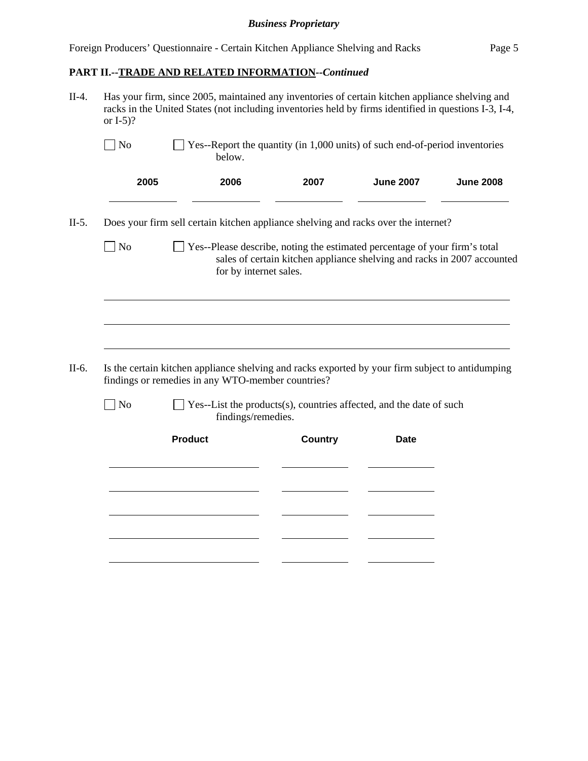## **PART II.--TRADE AND RELATED INFORMATION***--Continued*

| or $I-5$ ?     | Has your firm, since 2005, maintained any inventories of certain kitchen appliance shelving and<br>racks in the United States (not including inventories held by firms identified in questions I-3, I-4, |                                                                                                                                                       |                  |                  |
|----------------|----------------------------------------------------------------------------------------------------------------------------------------------------------------------------------------------------------|-------------------------------------------------------------------------------------------------------------------------------------------------------|------------------|------------------|
| $\vert$ No     | below.                                                                                                                                                                                                   | Yes--Report the quantity (in 1,000 units) of such end-of-period inventories                                                                           |                  |                  |
| 2005           | 2006                                                                                                                                                                                                     | 2007                                                                                                                                                  | <b>June 2007</b> | <b>June 2008</b> |
|                | Does your firm sell certain kitchen appliance shelving and racks over the internet?                                                                                                                      |                                                                                                                                                       |                  |                  |
| $\vert$ No     | for by internet sales.                                                                                                                                                                                   | Yes--Please describe, noting the estimated percentage of your firm's total<br>sales of certain kitchen appliance shelving and racks in 2007 accounted |                  |                  |
|                |                                                                                                                                                                                                          |                                                                                                                                                       |                  |                  |
|                |                                                                                                                                                                                                          |                                                                                                                                                       |                  |                  |
|                |                                                                                                                                                                                                          |                                                                                                                                                       |                  |                  |
|                | Is the certain kitchen appliance shelving and racks exported by your firm subject to antidumping<br>findings or remedies in any WTO-member countries?                                                    |                                                                                                                                                       |                  |                  |
| N <sub>o</sub> | findings/remedies.                                                                                                                                                                                       | Yes--List the products(s), countries affected, and the date of such                                                                                   |                  |                  |
|                | <b>Product</b>                                                                                                                                                                                           | <b>Country</b>                                                                                                                                        | <b>Date</b>      |                  |
|                |                                                                                                                                                                                                          |                                                                                                                                                       |                  |                  |
|                |                                                                                                                                                                                                          |                                                                                                                                                       |                  |                  |
|                |                                                                                                                                                                                                          |                                                                                                                                                       |                  |                  |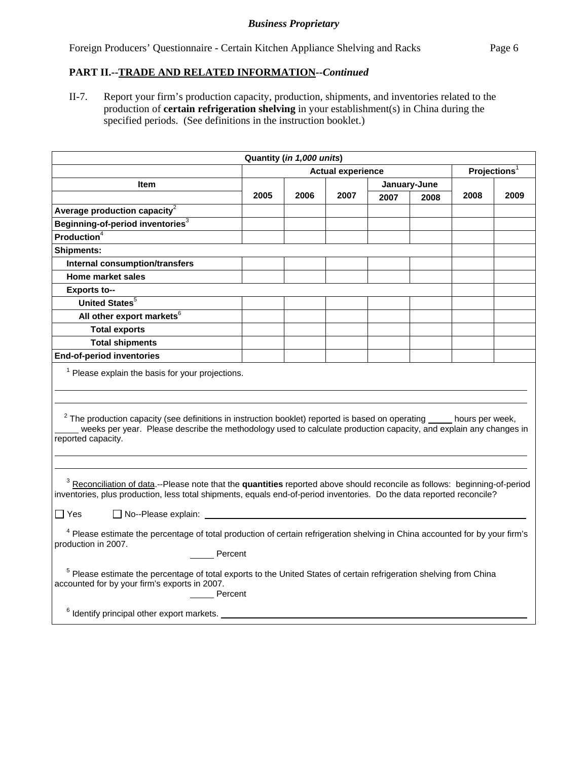Foreign Producers' Questionnaire - Certain Kitchen Appliance Shelving and Racks Page 6

### **PART II.--TRADE AND RELATED INFORMATION***--Continued*

II-7. Report your firm's production capacity, production, shipments, and inventories related to the production of **certain refrigeration shelving** in your establishment(s) in China during the specified periods. (See definitions in the instruction booklet.)

| Quantity (in 1,000 units)                                                                                                                                                                                                                                                                                                                                                                                                                                                    |                                                                                                                                                                                                                                                                                                           |                          |      |      |              |                          |      |  |
|------------------------------------------------------------------------------------------------------------------------------------------------------------------------------------------------------------------------------------------------------------------------------------------------------------------------------------------------------------------------------------------------------------------------------------------------------------------------------|-----------------------------------------------------------------------------------------------------------------------------------------------------------------------------------------------------------------------------------------------------------------------------------------------------------|--------------------------|------|------|--------------|--------------------------|------|--|
|                                                                                                                                                                                                                                                                                                                                                                                                                                                                              |                                                                                                                                                                                                                                                                                                           | <b>Actual experience</b> |      |      |              | Projections <sup>1</sup> |      |  |
| <b>Item</b>                                                                                                                                                                                                                                                                                                                                                                                                                                                                  |                                                                                                                                                                                                                                                                                                           |                          |      |      | January-June |                          |      |  |
|                                                                                                                                                                                                                                                                                                                                                                                                                                                                              | 2005                                                                                                                                                                                                                                                                                                      | 2006                     | 2007 | 2007 | 2008         | 2008                     | 2009 |  |
| Average production capacity $^2$                                                                                                                                                                                                                                                                                                                                                                                                                                             |                                                                                                                                                                                                                                                                                                           |                          |      |      |              |                          |      |  |
| Beginning-of-period inventories <sup>3</sup>                                                                                                                                                                                                                                                                                                                                                                                                                                 |                                                                                                                                                                                                                                                                                                           |                          |      |      |              |                          |      |  |
| Production <sup>4</sup>                                                                                                                                                                                                                                                                                                                                                                                                                                                      |                                                                                                                                                                                                                                                                                                           |                          |      |      |              |                          |      |  |
| <b>Shipments:</b>                                                                                                                                                                                                                                                                                                                                                                                                                                                            |                                                                                                                                                                                                                                                                                                           |                          |      |      |              |                          |      |  |
| <b>Internal consumption/transfers</b>                                                                                                                                                                                                                                                                                                                                                                                                                                        |                                                                                                                                                                                                                                                                                                           |                          |      |      |              |                          |      |  |
| <b>Home market sales</b>                                                                                                                                                                                                                                                                                                                                                                                                                                                     |                                                                                                                                                                                                                                                                                                           |                          |      |      |              |                          |      |  |
| <b>Exports to--</b>                                                                                                                                                                                                                                                                                                                                                                                                                                                          |                                                                                                                                                                                                                                                                                                           |                          |      |      |              |                          |      |  |
| United States <sup>5</sup>                                                                                                                                                                                                                                                                                                                                                                                                                                                   |                                                                                                                                                                                                                                                                                                           |                          |      |      |              |                          |      |  |
| All other export markets <sup>6</sup>                                                                                                                                                                                                                                                                                                                                                                                                                                        |                                                                                                                                                                                                                                                                                                           |                          |      |      |              |                          |      |  |
| <b>Total exports</b>                                                                                                                                                                                                                                                                                                                                                                                                                                                         |                                                                                                                                                                                                                                                                                                           |                          |      |      |              |                          |      |  |
| <b>Total shipments</b>                                                                                                                                                                                                                                                                                                                                                                                                                                                       |                                                                                                                                                                                                                                                                                                           |                          |      |      |              |                          |      |  |
| <b>End-of-period inventories</b>                                                                                                                                                                                                                                                                                                                                                                                                                                             |                                                                                                                                                                                                                                                                                                           |                          |      |      |              |                          |      |  |
| reported capacity.                                                                                                                                                                                                                                                                                                                                                                                                                                                           | $1$ Please explain the basis for your projections.<br>$2$ The production capacity (see definitions in instruction booklet) reported is based on operating $\_\_\_\_$ hours per week,<br>weeks per year. Please describe the methodology used to calculate production capacity, and explain any changes in |                          |      |      |              |                          |      |  |
| <sup>3</sup> Reconciliation of data.--Please note that the quantities reported above should reconcile as follows: beginning-of-period<br>inventories, plus production, less total shipments, equals end-of-period inventories. Do the data reported reconcile?<br>$\Box$ No--Please explain:<br>$\Box$ Yes<br><sup>4</sup> Please estimate the percentage of total production of certain refrigeration shelving in China accounted for by your firm's<br>production in 2007. |                                                                                                                                                                                                                                                                                                           |                          |      |      |              |                          |      |  |
| Percent<br><sup>5</sup> Please estimate the percentage of total exports to the United States of certain refrigeration shelving from China<br>accounted for by your firm's exports in 2007.                                                                                                                                                                                                                                                                                   |                                                                                                                                                                                                                                                                                                           |                          |      |      |              |                          |      |  |
| Percent<br><sup>6</sup> Identify principal other export markets.                                                                                                                                                                                                                                                                                                                                                                                                             |                                                                                                                                                                                                                                                                                                           |                          |      |      |              |                          |      |  |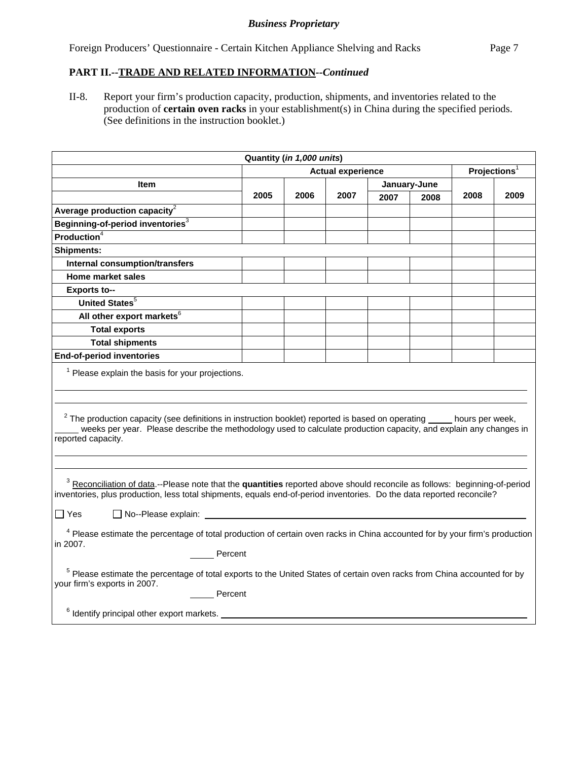Foreign Producers' Questionnaire - Certain Kitchen Appliance Shelving and Racks Page 7

## **PART II.--TRADE AND RELATED INFORMATION***--Continued*

II-8. Report your firm's production capacity, production, shipments, and inventories related to the production of **certain oven racks** in your establishment(s) in China during the specified periods. (See definitions in the instruction booklet.)

| Quantity (in 1,000 units)                                                                                                                                                                                                                                                                                  |                          |      |      |      |                          |      |      |
|------------------------------------------------------------------------------------------------------------------------------------------------------------------------------------------------------------------------------------------------------------------------------------------------------------|--------------------------|------|------|------|--------------------------|------|------|
|                                                                                                                                                                                                                                                                                                            | <b>Actual experience</b> |      |      |      | Projections <sup>1</sup> |      |      |
| Item                                                                                                                                                                                                                                                                                                       |                          |      |      |      | January-June             |      |      |
|                                                                                                                                                                                                                                                                                                            | 2005                     | 2006 | 2007 | 2007 | 2008                     | 2008 | 2009 |
| Average production capacity <sup>2</sup>                                                                                                                                                                                                                                                                   |                          |      |      |      |                          |      |      |
| Beginning-of-period inventories <sup>3</sup>                                                                                                                                                                                                                                                               |                          |      |      |      |                          |      |      |
| Production <sup>4</sup>                                                                                                                                                                                                                                                                                    |                          |      |      |      |                          |      |      |
| <b>Shipments:</b>                                                                                                                                                                                                                                                                                          |                          |      |      |      |                          |      |      |
| Internal consumption/transfers                                                                                                                                                                                                                                                                             |                          |      |      |      |                          |      |      |
| Home market sales                                                                                                                                                                                                                                                                                          |                          |      |      |      |                          |      |      |
| <b>Exports to--</b>                                                                                                                                                                                                                                                                                        |                          |      |      |      |                          |      |      |
| United States <sup>5</sup>                                                                                                                                                                                                                                                                                 |                          |      |      |      |                          |      |      |
| All other export markets <sup>6</sup>                                                                                                                                                                                                                                                                      |                          |      |      |      |                          |      |      |
| <b>Total exports</b>                                                                                                                                                                                                                                                                                       |                          |      |      |      |                          |      |      |
| <b>Total shipments</b>                                                                                                                                                                                                                                                                                     |                          |      |      |      |                          |      |      |
| <b>End-of-period inventories</b>                                                                                                                                                                                                                                                                           |                          |      |      |      |                          |      |      |
| $1$ Please explain the basis for your projections.                                                                                                                                                                                                                                                         |                          |      |      |      |                          |      |      |
| $2$ The production capacity (see definitions in instruction booklet) reported is based on operating $\qquad$ hours per week,<br>weeks per year. Please describe the methodology used to calculate production capacity, and explain any changes in<br>reported capacity.                                    |                          |      |      |      |                          |      |      |
| <sup>3</sup> Reconciliation of data.--Please note that the quantities reported above should reconcile as follows: beginning-of-period<br>inventories, plus production, less total shipments, equals end-of-period inventories. Do the data reported reconcile?<br>$\Box$ Yes<br>$\Box$ No--Please explain: |                          |      |      |      |                          |      |      |
|                                                                                                                                                                                                                                                                                                            |                          |      |      |      |                          |      |      |
| <sup>4</sup> Please estimate the percentage of total production of certain oven racks in China accounted for by your firm's production<br>in 2007.                                                                                                                                                         |                          |      |      |      |                          |      |      |
| Percent                                                                                                                                                                                                                                                                                                    |                          |      |      |      |                          |      |      |
| <sup>5</sup> Please estimate the percentage of total exports to the United States of certain oven racks from China accounted for by<br>your firm's exports in 2007.                                                                                                                                        |                          |      |      |      |                          |      |      |
| Percent                                                                                                                                                                                                                                                                                                    |                          |      |      |      |                          |      |      |
| $6$ Identify principal other export markets. $\_$                                                                                                                                                                                                                                                          |                          |      |      |      |                          |      |      |